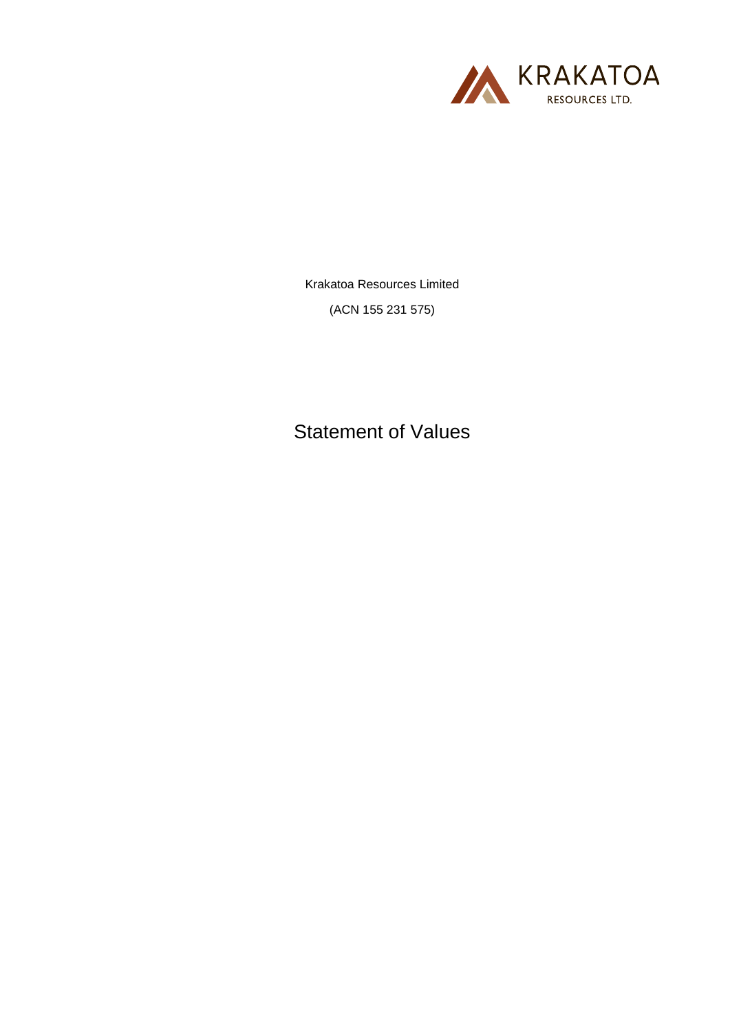

Krakatoa Resources Limited (ACN 155 231 575)

Statement of Values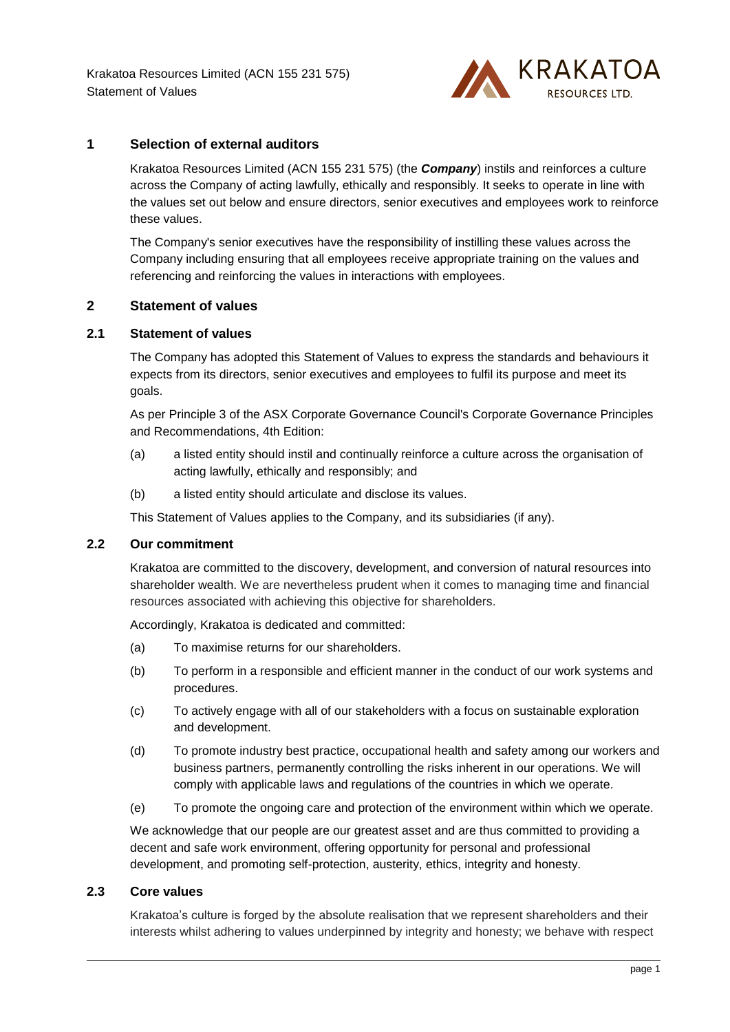

# **1 Selection of external auditors**

Krakatoa Resources Limited (ACN 155 231 575) (the *Company*) instils and reinforces a culture across the Company of acting lawfully, ethically and responsibly. It seeks to operate in line with the values set out below and ensure directors, senior executives and employees work to reinforce these values.

The Company's senior executives have the responsibility of instilling these values across the Company including ensuring that all employees receive appropriate training on the values and referencing and reinforcing the values in interactions with employees.

# **2 Statement of values**

## **2.1 Statement of values**

The Company has adopted this Statement of Values to express the standards and behaviours it expects from its directors, senior executives and employees to fulfil its purpose and meet its goals.

As per Principle 3 of the ASX Corporate Governance Council's Corporate Governance Principles and Recommendations, 4th Edition:

- (a) a listed entity should instil and continually reinforce a culture across the organisation of acting lawfully, ethically and responsibly; and
- (b) a listed entity should articulate and disclose its values.

This Statement of Values applies to the Company, and its subsidiaries (if any).

### **2.2 Our commitment**

Krakatoa are committed to the discovery, development, and conversion of natural resources into shareholder wealth. We are nevertheless prudent when it comes to managing time and financial resources associated with achieving this objective for shareholders.

Accordingly, Krakatoa is dedicated and committed:

- (a) To maximise returns for our shareholders.
- (b) To perform in a responsible and efficient manner in the conduct of our work systems and procedures.
- (c) To actively engage with all of our stakeholders with a focus on sustainable exploration and development.
- (d) To promote industry best practice, occupational health and safety among our workers and business partners, permanently controlling the risks inherent in our operations. We will comply with applicable laws and regulations of the countries in which we operate.
- (e) To promote the ongoing care and protection of the environment within which we operate.

We acknowledge that our people are our greatest asset and are thus committed to providing a decent and safe work environment, offering opportunity for personal and professional development, and promoting self-protection, austerity, ethics, integrity and honesty.

### **2.3 Core values**

Krakatoa's culture is forged by the absolute realisation that we represent shareholders and their interests whilst adhering to values underpinned by integrity and honesty; we behave with respect